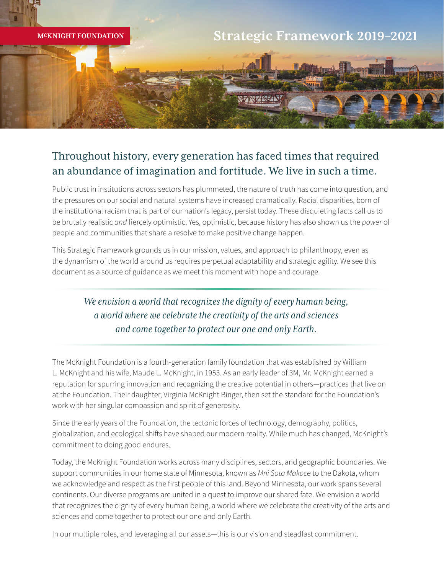

## Throughout history, every generation has faced times that required an abundance of imagination and fortitude. We live in such a time.

Public trust in institutions across sectors has plummeted, the nature of truth has come into question, and the pressures on our social and natural systems have increased dramatically. Racial disparities, born of the institutional racism that is part of our nation's legacy, persist today. These disquieting facts call us to be brutally realistic *and* fiercely optimistic. Yes, optimistic, because history has also shown us the *power* of people and communities that share a resolve to make positive change happen.

This Strategic Framework grounds us in our mission, values, and approach to philanthropy, even as the dynamism of the world around us requires perpetual adaptability and strategic agility. We see this document as a source of guidance as we meet this moment with hope and courage.

### *We envision a world that recognizes the dignity of every human being, a world where we celebrate the creativity of the arts and sciences and come together to protect our one and only Earth.*

The McKnight Foundation is a fourth-generation family foundation that was established by William L. McKnight and his wife, Maude L. McKnight, in 1953. As an early leader of 3M, Mr. McKnight earned a reputation for spurring innovation and recognizing the creative potential in others—practices that live on at the Foundation. Their daughter, Virginia McKnight Binger, then set the standard for the Foundation's work with her singular compassion and spirit of generosity.

Since the early years of the Foundation, the tectonic forces of technology, demography, politics, globalization, and ecological shifts have shaped our modern reality. While much has changed, McKnight's commitment to doing good endures.

Today, the McKnight Foundation works across many disciplines, sectors, and geographic boundaries. We support communities in our home state of Minnesota, known as *Mni Sota Makoce* to the Dakota, whom we acknowledge and respect as the first people of this land. Beyond Minnesota, our work spans several continents. Our diverse programs are united in a quest to improve our shared fate. We envision a world that recognizes the dignity of every human being, a world where we celebrate the creativity of the arts and sciences and come together to protect our one and only Earth.

In our multiple roles, and leveraging all our assets—this is our vision and steadfast commitment.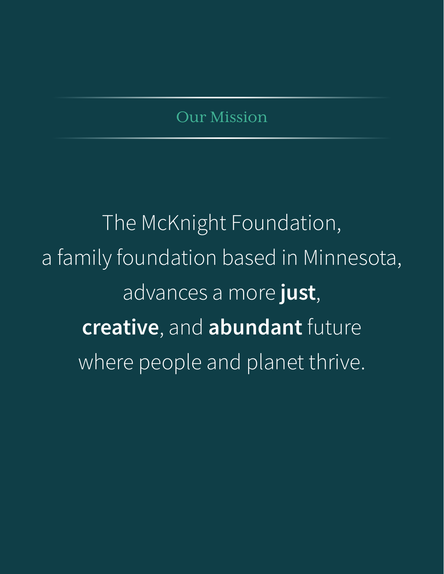# Our Mission

The McKnight Foundation, a family foundation based in Minnesota, advances a more **just**, **creative**, and **abundant** future where people and planet thrive.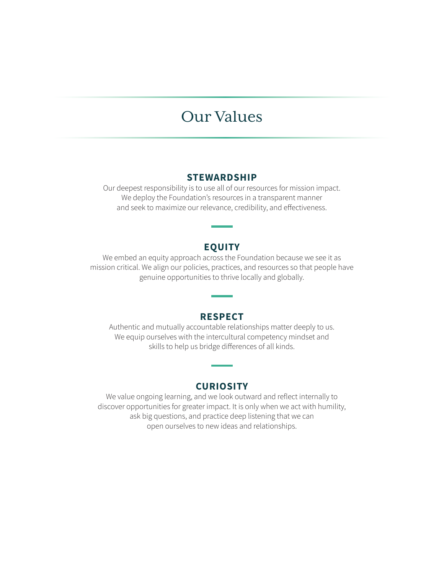## Our Values

#### **STEWARDSHIP**

Our deepest responsibility is to use all of our resources for mission impact. We deploy the Foundation's resources in a transparent manner and seek to maximize our relevance, credibility, and effectiveness.

#### **EQUITY**

We embed an equity approach across the Foundation because we see it as mission critical. We align our policies, practices, and resources so that people have genuine opportunities to thrive locally and globally.

#### **RESPECT**

Authentic and mutually accountable relationships matter deeply to us. We equip ourselves with the intercultural competency mindset and skills to help us bridge differences of all kinds.

#### **CURIOSITY**

We value ongoing learning, and we look outward and reflect internally to discover opportunities for greater impact. It is only when we act with humility, ask big questions, and practice deep listening that we can open ourselves to new ideas and relationships.